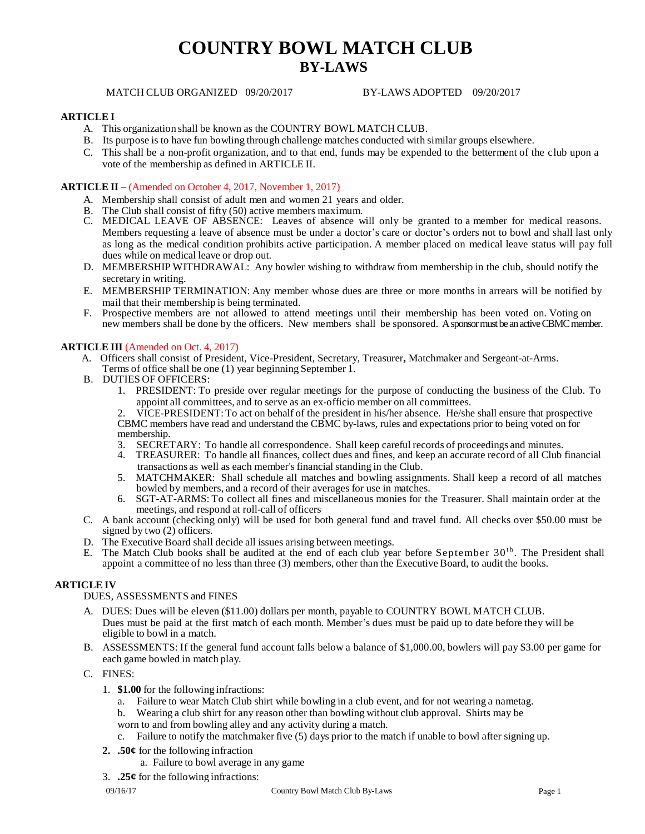# **COUNTRY BOWL MATCH CLUB BY-LAWS**

MATCH CLUB ORGANIZED 09/20/2017 BY-LAWS ADOPTED 09/20/2017

## **ARTICLE I**

- A. This organization shall be known as the COUNTRY BOWL MATCH CLUB.
- B. Its purpose is to have fun bowling through challenge matches conducted with similar groups elsewhere.
- C. This shall be a non-profit organization, and to that end, funds may be expended to the betterment of the club upon a vote of the membership as defined in ARTICLE II.

## **ARTICLE II** – (Amended on October 4, 2017, November 1, 2017)

- A. Membership shall consist of adult men and women 21 years and older.
- B. The Club shall consist of fifty (50) active members maximum.
- C. MEDICAL LEAVE OF ABSENCE: Leaves of absence will only be granted to a member for medical reasons. Members requesting a leave of absence must be under a doctor's care or doctor's orders not to bowl and shall last only as long as the medical condition prohibits active participation. A member placed on medical leave status will pay full dues while on medical leave or drop out.
- D. MEMBERSHIP WITHDRAWAL: Any bowler wishing to withdraw from membership in the club, should notify the secretary in writing.
- E. MEMBERSHIP TERMINATION: Any member whose dues are three or more months in arrears will be notified by mail that their membership is being terminated.
- F. Prospective members are not allowed to attend meetings until their membership has been voted on. Voting on new members shall be done by the officers. New members shall be sponsored. A sponsor must be an active CBMC member.

#### **ARTICLE III** (Amended on Oct. 4, 2017)

- A. Officers shall consist of President, Vice-President, Secretary, Treasurer**,** Matchmaker and Sergeant-at-Arms.
- Terms of office shall be one (1) year beginning September 1.
- B. DUTIES OF OFFICERS:
	- 1. PRESIDENT: To preside over regular meetings for the purpose of conducting the business of the Club. To appoint all committees, and to serve as an ex-officio member on all committees.

2. VICE-PRESIDENT: To act on behalf of the president in his/her absence. He/she shall ensure that prospective CBMC members have read and understand the CBMC by-laws, rules and expectations prior to being voted on for membership.

- 3. SECRETARY: To handle all correspondence. Shall keep careful records of proceedings and minutes.
- 4. TREASURER: To handle all finances, collect dues and fines, and keep an accurate record of all Club financial transactions as well as each member's financial standing in the Club.
- 5. MATCHMAKER: Shall schedule all matches and bowling assignments. Shall keep a record of all matches bowled by members, and a record of their averages for use in matches.
- 6. SGT-AT-ARMS: To collect all fines and miscellaneous monies for the Treasurer. Shall maintain order at the meetings, and respond at roll-call of officers
- C. A bank account (checking only) will be used for both general fund and travel fund. All checks over \$50.00 must be signed by two (2) officers.
- D. The Executive Board shall decide all issues arising between meetings.
- E. The Match Club books shall be audited at the end of each club year before September  $30<sup>th</sup>$ . The President shall appoint a committee of no less than three (3) members, other than the Executive Board, to audit the books.

## **ARTICLE IV**

DUES, ASSESSMENTS and FINES

- A. DUES: Dues will be eleven (\$11.00) dollars per month, payable to COUNTRY BOWL MATCH CLUB. Dues must be paid at the first match of each month. Member's dues must be paid up to date before they will be eligible to bowl in a match.
- B. ASSESSMENTS: If the general fund account falls below a balance of \$1,000.00, bowlers will pay \$3.00 per game for each game bowled in match play.
- C. FINES:
	- 1. **\$1.00** for the following infractions:
		- a. Failure to wear Match Club shirt while bowling in a club event, and for not wearing a nametag.
		- b. Wearing a club shirt for any reason other than bowling without club approval. Shirts may be
		- worn to and from bowling alley and any activity during a match.
		- c. Failure to notify the matchmaker five (5) days prior to the match if unable to bowl after signing up.
	- **2. .50¢** for the following infraction
		- a. Failure to bowl average in any game
	- 3. **.25¢** for the following infractions: